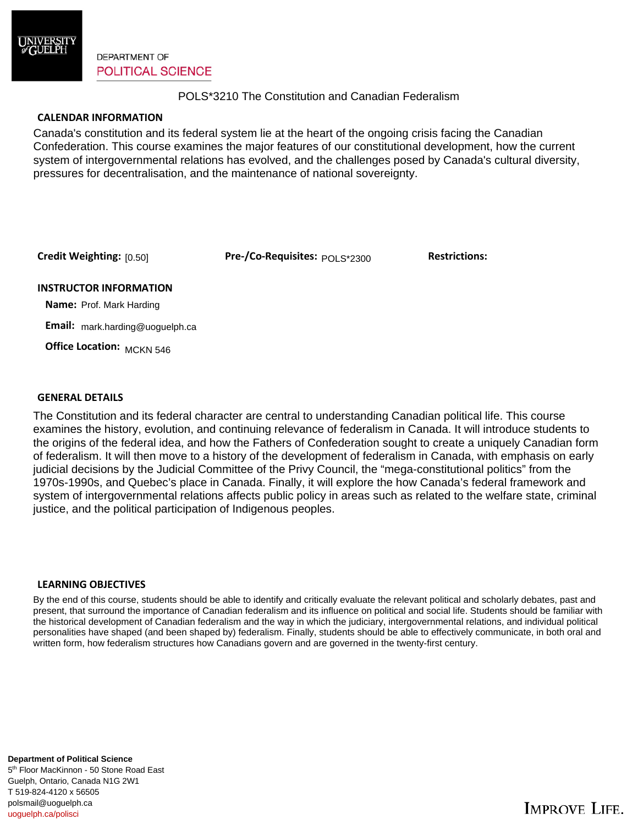

**DEPARTMENT OF POLITICAL SCIENCE** 

## POLS\*3210 The Constitution and Canadian Federalism

## **CALENDAR INFORMATION**

Canada's constitution and its federal system lie at the heart of the ongoing crisis facing the Canadian Confederation. This course examines the major features of our constitutional development, how the current system of intergovernmental relations has evolved, and the challenges posed by Canada's cultural diversity, pressures for decentralisation, and the maintenance of national sovereignty.

Credit Weighting: [0.50]

Credit Weighting: [0.50] Pre-/Co-Requisites:  $\tt\n\rho_{\sf OLS^{*}2300}$  Restrictions:

#### **INSTRUCTOR INFORMATION**

 **Name:** Prof. Mark Harding

 **Email:** mark.harding@uoguelph.ca

 **Office Location:**  MCKN 546

#### **GENERAL DETAILS**

The Constitution and its federal character are central to understanding Canadian political life. This course examines the history, evolution, and continuing relevance of federalism in Canada. It will introduce students to the origins of the federal idea, and how the Fathers of Confederation sought to create a uniquely Canadian form of federalism. It will then move to a history of the development of federalism in Canada, with emphasis on early judicial decisions by the Judicial Committee of the Privy Council, the "mega-constitutional politics" from the 1970s-1990s, and Quebec's place in Canada. Finally, it will explore the how Canada's federal framework and system of intergovernmental relations affects public policy in areas such as related to the welfare state, criminal justice, and the political participation of Indigenous peoples.

#### **LEARNING OBJECTIVES**

By the end of this course, students should be able to identify and critically evaluate the relevant political and scholarly debates, past and present, that surround the importance of Canadian federalism and its influence on political and social life. Students should be familiar with the historical development of Canadian federalism and the way in which the judiciary, intergovernmental relations, and individual political personalities have shaped (and been shaped by) federalism. Finally, students should be able to effectively communicate, in both oral and written form, how federalism structures how Canadians govern and are governed in the twenty-first century.

5<sup>th</sup> Floor MacKinnon - 50 Stone Road East Guelph, Ontario, Canada N1G 2W1 **Department of Political Science**  T 519-824-4120 x 56505 polsmail@uoguelph.ca uoguelph.ca/polisci

# **IMPROVE LIFE.**